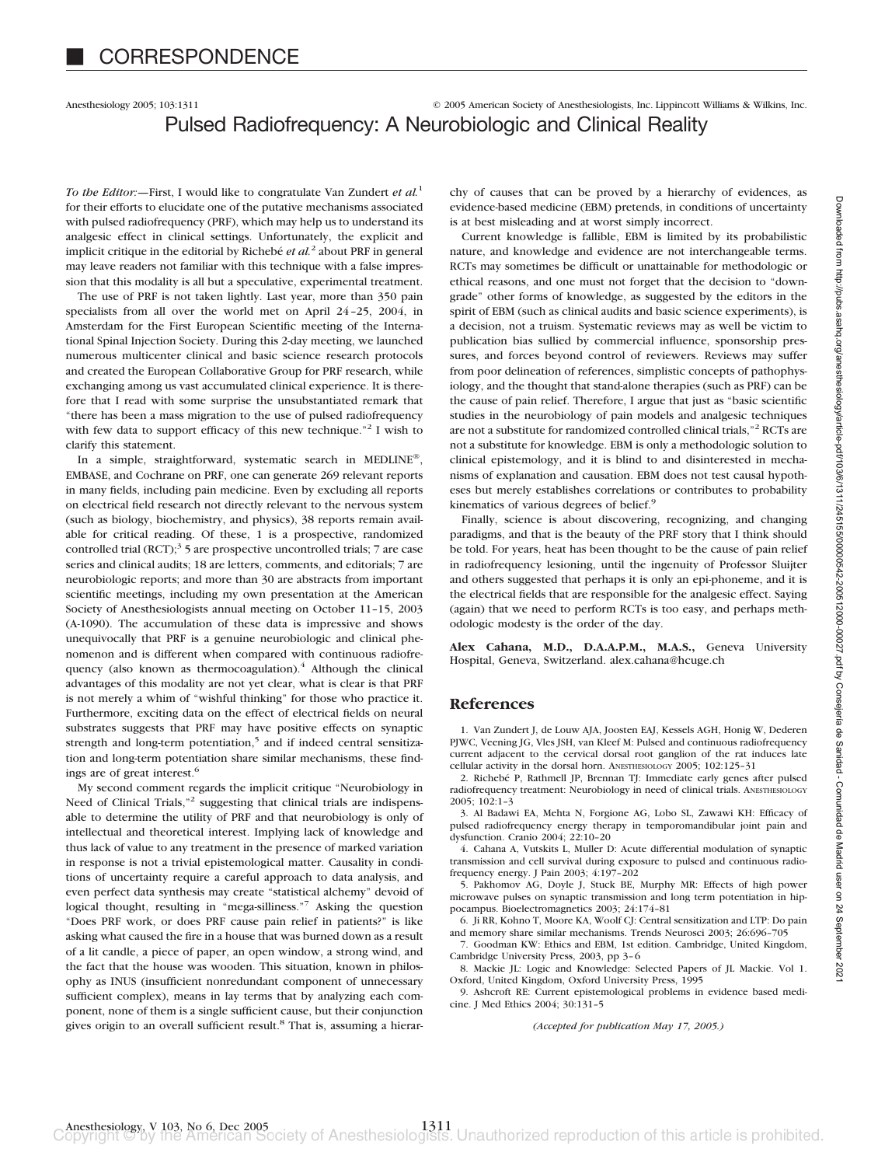Anesthesiology 2005; 103:1311 © 2005 American Society of Anesthesiologists, Inc. Lippincott Williams & Wilkins, Inc. Pulsed Radiofrequency: A Neurobiologic and Clinical Reality

*To the Editor:—*First, I would like to congratulate Van Zundert *et al.*<sup>1</sup> for their efforts to elucidate one of the putative mechanisms associated with pulsed radiofrequency (PRF), which may help us to understand its analgesic effect in clinical settings. Unfortunately, the explicit and implicit critique in the editorial by Richebé *et al.*<sup>2</sup> about PRF in general may leave readers not familiar with this technique with a false impression that this modality is all but a speculative, experimental treatment.

The use of PRF is not taken lightly. Last year, more than 350 pain specialists from all over the world met on April 24–25, 2004, in Amsterdam for the First European Scientific meeting of the International Spinal Injection Society. During this 2-day meeting, we launched numerous multicenter clinical and basic science research protocols and created the European Collaborative Group for PRF research, while exchanging among us vast accumulated clinical experience. It is therefore that I read with some surprise the unsubstantiated remark that "there has been a mass migration to the use of pulsed radiofrequency with few data to support efficacy of this new technique."<sup>2</sup> I wish to clarify this statement.

In a simple, straightforward, systematic search in MEDLINE®, EMBASE, and Cochrane on PRF, one can generate 269 relevant reports in many fields, including pain medicine. Even by excluding all reports on electrical field research not directly relevant to the nervous system (such as biology, biochemistry, and physics), 38 reports remain available for critical reading. Of these, 1 is a prospective, randomized controlled trial  $(RCT)$ ;<sup>3</sup> 5 are prospective uncontrolled trials; 7 are case series and clinical audits; 18 are letters, comments, and editorials; 7 are neurobiologic reports; and more than 30 are abstracts from important scientific meetings, including my own presentation at the American Society of Anesthesiologists annual meeting on October 11–15, 2003 (A-1090). The accumulation of these data is impressive and shows unequivocally that PRF is a genuine neurobiologic and clinical phenomenon and is different when compared with continuous radiofrequency (also known as thermocoagulation). $4$  Although the clinical advantages of this modality are not yet clear, what is clear is that PRF is not merely a whim of "wishful thinking" for those who practice it. Furthermore, exciting data on the effect of electrical fields on neural substrates suggests that PRF may have positive effects on synaptic strength and long-term potentiation, $5$  and if indeed central sensitization and long-term potentiation share similar mechanisms, these findings are of great interest.<sup>6</sup>

My second comment regards the implicit critique "Neurobiology in Need of Clinical Trials,"<sup>2</sup> suggesting that clinical trials are indispensable to determine the utility of PRF and that neurobiology is only of intellectual and theoretical interest. Implying lack of knowledge and thus lack of value to any treatment in the presence of marked variation in response is not a trivial epistemological matter. Causality in conditions of uncertainty require a careful approach to data analysis, and even perfect data synthesis may create "statistical alchemy" devoid of logical thought, resulting in "mega-silliness."7 Asking the question "Does PRF work, or does PRF cause pain relief in patients?" is like asking what caused the fire in a house that was burned down as a result of a lit candle, a piece of paper, an open window, a strong wind, and the fact that the house was wooden. This situation, known in philosophy as INUS (insufficient nonredundant component of unnecessary sufficient complex), means in lay terms that by analyzing each component, none of them is a single sufficient cause, but their conjunction gives origin to an overall sufficient result.<sup>8</sup> That is, assuming a hierar-

chy of causes that can be proved by a hierarchy of evidences, as evidence-based medicine (EBM) pretends, in conditions of uncertainty is at best misleading and at worst simply incorrect.

Current knowledge is fallible, EBM is limited by its probabilistic nature, and knowledge and evidence are not interchangeable terms. RCTs may sometimes be difficult or unattainable for methodologic or ethical reasons, and one must not forget that the decision to "downgrade" other forms of knowledge, as suggested by the editors in the spirit of EBM (such as clinical audits and basic science experiments), is a decision, not a truism. Systematic reviews may as well be victim to publication bias sullied by commercial influence, sponsorship pressures, and forces beyond control of reviewers. Reviews may suffer from poor delineation of references, simplistic concepts of pathophysiology, and the thought that stand-alone therapies (such as PRF) can be the cause of pain relief. Therefore, I argue that just as "basic scientific studies in the neurobiology of pain models and analgesic techniques are not a substitute for randomized controlled clinical trials,"<sup>2</sup> RCTs are not a substitute for knowledge. EBM is only a methodologic solution to clinical epistemology, and it is blind to and disinterested in mechanisms of explanation and causation. EBM does not test causal hypotheses but merely establishes correlations or contributes to probability kinematics of various degrees of belief.<sup>9</sup>

Finally, science is about discovering, recognizing, and changing paradigms, and that is the beauty of the PRF story that I think should be told. For years, heat has been thought to be the cause of pain relief in radiofrequency lesioning, until the ingenuity of Professor Sluijter and others suggested that perhaps it is only an epi-phoneme, and it is the electrical fields that are responsible for the analgesic effect. Saying (again) that we need to perform RCTs is too easy, and perhaps methodologic modesty is the order of the day.

**Alex Cahana, M.D., D.A.A.P.M., M.A.S.,** Geneva University Hospital, Geneva, Switzerland. alex.cahana@hcuge.ch

#### **References**

1. Van Zundert J, de Louw AJA, Joosten EAJ, Kessels AGH, Honig W, Dederen PJWC, Veening JG, Vles JSH, van Kleef M: Pulsed and continuous radiofrequency current adjacent to the cervical dorsal root ganglion of the rat induces late cellular activity in the dorsal horn. ANESTHESIOLOGY 2005; 102:125–31

2. Richebé P, Rathmell JP, Brennan TJ: Immediate early genes after pulsed radiofrequency treatment: Neurobiology in need of clinical trials. ANESTHESIOLOGY 2005; 102:1–3

3. Al Badawi EA, Mehta N, Forgione AG, Lobo SL, Zawawi KH: Efficacy of pulsed radiofrequency energy therapy in temporomandibular joint pain and dysfunction. Cranio 2004; 22:10–20

4. Cahana A, Vutskits L, Muller D: Acute differential modulation of synaptic transmission and cell survival during exposure to pulsed and continuous radiofrequency energy. J Pain 2003; 4:197–202

5. Pakhomov AG, Doyle J, Stuck BE, Murphy MR: Effects of high power microwave pulses on synaptic transmission and long term potentiation in hippocampus. Bioelectromagnetics 2003; 24:174–81

6. Ji RR, Kohno T, Moore KA, Woolf CJ: Central sensitization and LTP: Do pain and memory share similar mechanisms. Trends Neurosci 2003; 26:696–705

7. Goodman KW: Ethics and EBM, 1st edition. Cambridge, United Kingdom, Cambridge University Press, 2003, pp 3–6

8. Mackie JL: Logic and Knowledge: Selected Papers of JL Mackie. Vol 1. Oxford, United Kingdom, Oxford University Press, 1995

9. Ashcroft RE: Current epistemological problems in evidence based medicine. J Med Ethics 2004; 30:131–5

*(Accepted for publication May 17, 2005.)*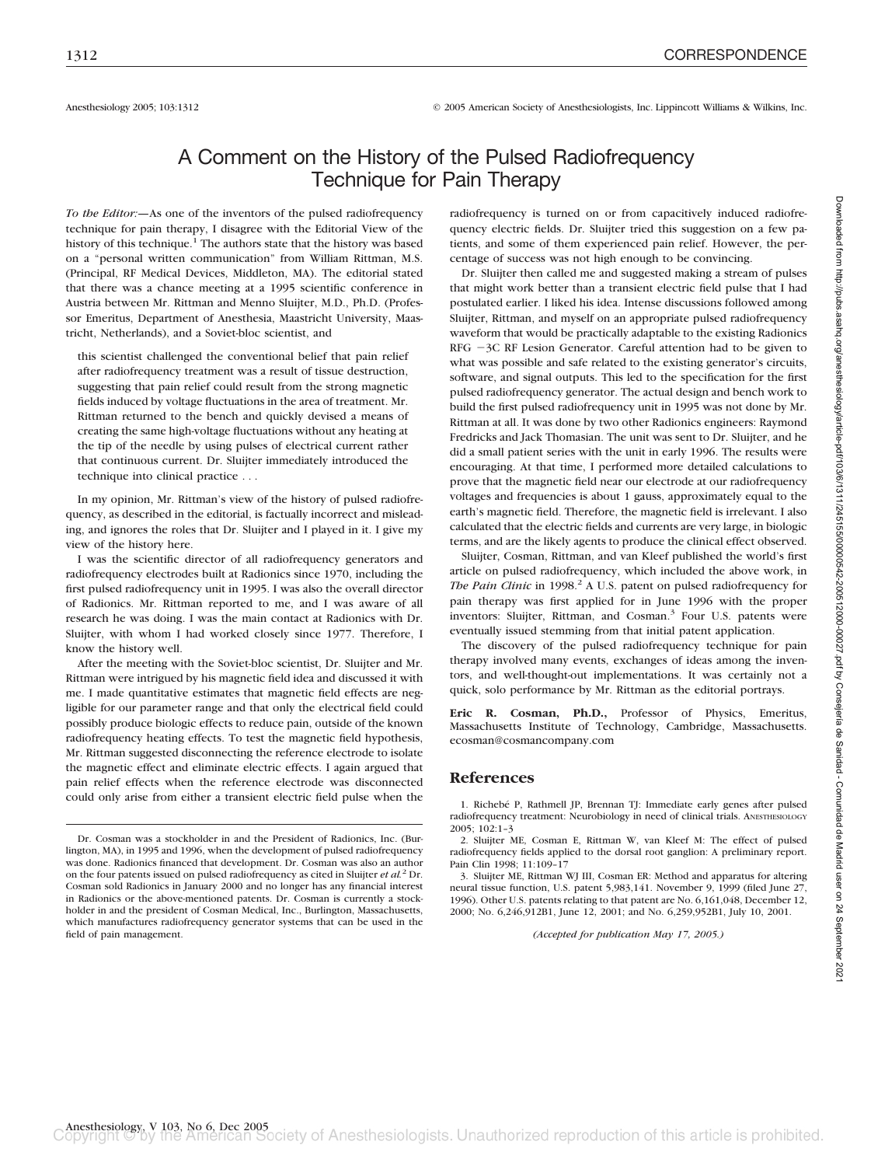Anesthesiology 2005; 103:1312 © 2005 American Society of Anesthesiologists, Inc. Lippincott Williams & Wilkins, Inc.

## A Comment on the History of the Pulsed Radiofrequency Technique for Pain Therapy

*To the Editor:—*As one of the inventors of the pulsed radiofrequency technique for pain therapy, I disagree with the Editorial View of the history of this technique.<sup>1</sup> The authors state that the history was based on a "personal written communication" from William Rittman, M.S. (Principal, RF Medical Devices, Middleton, MA). The editorial stated that there was a chance meeting at a 1995 scientific conference in Austria between Mr. Rittman and Menno Sluijter, M.D., Ph.D. (Professor Emeritus, Department of Anesthesia, Maastricht University, Maastricht, Netherlands), and a Soviet-bloc scientist, and

this scientist challenged the conventional belief that pain relief after radiofrequency treatment was a result of tissue destruction, suggesting that pain relief could result from the strong magnetic fields induced by voltage fluctuations in the area of treatment. Mr. Rittman returned to the bench and quickly devised a means of creating the same high-voltage fluctuations without any heating at the tip of the needle by using pulses of electrical current rather that continuous current. Dr. Sluijter immediately introduced the technique into clinical practice . . .

In my opinion, Mr. Rittman's view of the history of pulsed radiofrequency, as described in the editorial, is factually incorrect and misleading, and ignores the roles that Dr. Sluijter and I played in it. I give my view of the history here.

I was the scientific director of all radiofrequency generators and radiofrequency electrodes built at Radionics since 1970, including the first pulsed radiofrequency unit in 1995. I was also the overall director of Radionics. Mr. Rittman reported to me, and I was aware of all research he was doing. I was the main contact at Radionics with Dr. Sluijter, with whom I had worked closely since 1977. Therefore, I know the history well.

After the meeting with the Soviet-bloc scientist, Dr. Sluijter and Mr. Rittman were intrigued by his magnetic field idea and discussed it with me. I made quantitative estimates that magnetic field effects are negligible for our parameter range and that only the electrical field could possibly produce biologic effects to reduce pain, outside of the known radiofrequency heating effects. To test the magnetic field hypothesis, Mr. Rittman suggested disconnecting the reference electrode to isolate the magnetic effect and eliminate electric effects. I again argued that pain relief effects when the reference electrode was disconnected could only arise from either a transient electric field pulse when the radiofrequency is turned on or from capacitively induced radiofrequency electric fields. Dr. Sluijter tried this suggestion on a few patients, and some of them experienced pain relief. However, the percentage of success was not high enough to be convincing.

Dr. Sluijter then called me and suggested making a stream of pulses that might work better than a transient electric field pulse that I had postulated earlier. I liked his idea. Intense discussions followed among Sluijter, Rittman, and myself on an appropriate pulsed radiofrequency waveform that would be practically adaptable to the existing Radionics RFG  $-3C$  RF Lesion Generator. Careful attention had to be given to what was possible and safe related to the existing generator's circuits, software, and signal outputs. This led to the specification for the first pulsed radiofrequency generator. The actual design and bench work to build the first pulsed radiofrequency unit in 1995 was not done by Mr. Rittman at all. It was done by two other Radionics engineers: Raymond Fredricks and Jack Thomasian. The unit was sent to Dr. Sluijter, and he did a small patient series with the unit in early 1996. The results were encouraging. At that time, I performed more detailed calculations to prove that the magnetic field near our electrode at our radiofrequency voltages and frequencies is about 1 gauss, approximately equal to the earth's magnetic field. Therefore, the magnetic field is irrelevant. I also calculated that the electric fields and currents are very large, in biologic terms, and are the likely agents to produce the clinical effect observed.

Sluijter, Cosman, Rittman, and van Kleef published the world's first article on pulsed radiofrequency, which included the above work, in *The Pain Clinic* in 1998.<sup>2</sup> A U.S. patent on pulsed radiofrequency for pain therapy was first applied for in June 1996 with the proper inventors: Sluijter, Rittman, and Cosman.<sup>3</sup> Four U.S. patents were eventually issued stemming from that initial patent application.

The discovery of the pulsed radiofrequency technique for pain therapy involved many events, exchanges of ideas among the inventors, and well-thought-out implementations. It was certainly not a quick, solo performance by Mr. Rittman as the editorial portrays.

**Eric R. Cosman, Ph.D.,** Professor of Physics, Emeritus, Massachusetts Institute of Technology, Cambridge, Massachusetts. ecosman@cosmancompany.com

### **References**

*(Accepted for publication May 17, 2005.)*

Dr. Cosman was a stockholder in and the President of Radionics, Inc. (Burlington, MA), in 1995 and 1996, when the development of pulsed radiofrequency was done. Radionics financed that development. Dr. Cosman was also an author on the four patents issued on pulsed radiofrequency as cited in Sluijter *et al.*<sup>2</sup> Dr. Cosman sold Radionics in January 2000 and no longer has any financial interest in Radionics or the above-mentioned patents. Dr. Cosman is currently a stockholder in and the president of Cosman Medical, Inc., Burlington, Massachusetts, which manufactures radiofrequency generator systems that can be used in the field of pain management.

<sup>1.</sup> Richebé P, Rathmell JP, Brennan TJ: Immediate early genes after pulsed radiofrequency treatment: Neurobiology in need of clinical trials. ANESTHESIOLOGY  $2005: 102:1 - 3$ 

<sup>2.</sup> Sluijter ME, Cosman E, Rittman W, van Kleef M: The effect of pulsed radiofrequency fields applied to the dorsal root ganglion: A preliminary report. Pain Clin 1998; 11:109–17

<sup>3.</sup> Sluijter ME, Rittman WJ III, Cosman ER: Method and apparatus for altering neural tissue function, U.S. patent 5,983,141. November 9, 1999 (filed June 27, 1996). Other U.S. patents relating to that patent are No. 6,161,048, December 12, 2000; No. 6,246,912B1, June 12, 2001; and No. 6,259,952B1, July 10, 2001.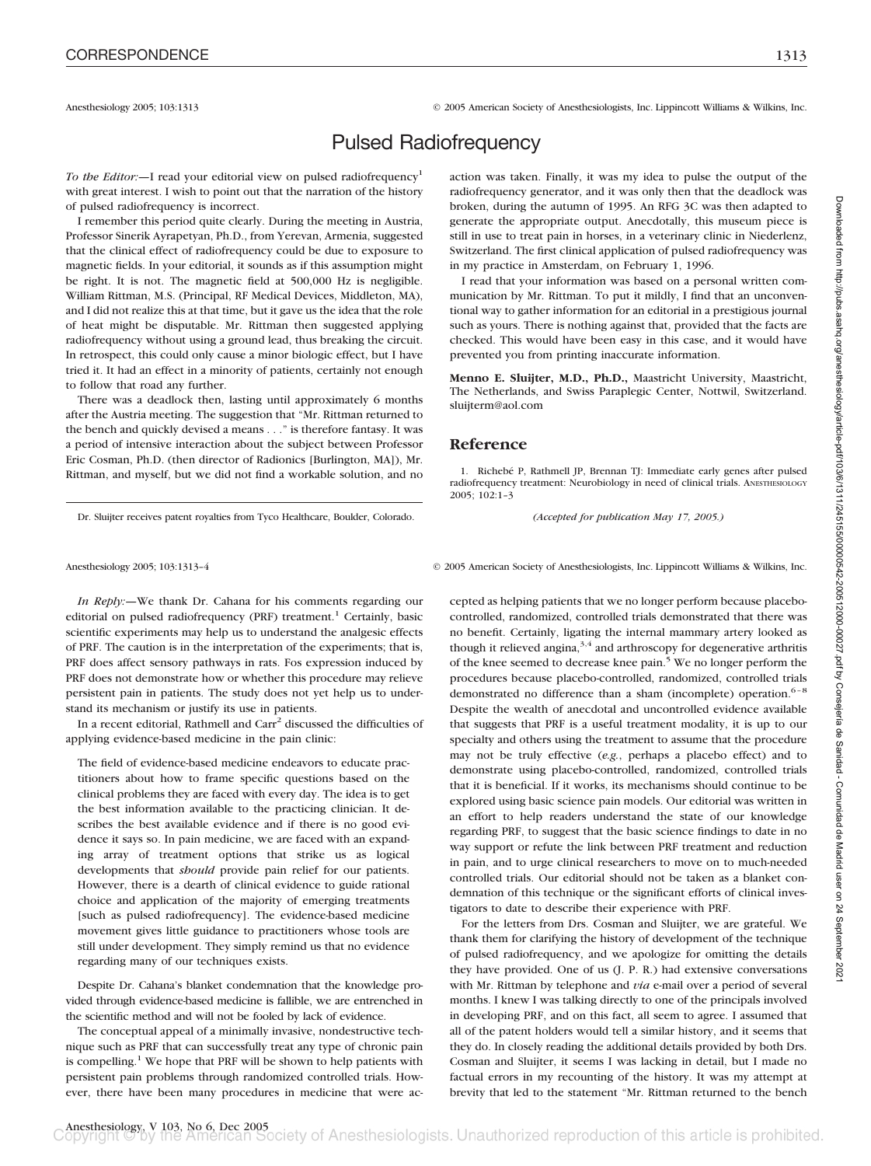Anesthesiology 2005; 103:1313 © 2005 American Society of Anesthesiologists, Inc. Lippincott Williams & Wilkins, Inc.

## Pulsed Radiofrequency

*To the Editor:*—I read your editorial view on pulsed radiofrequency<sup>1</sup> with great interest. I wish to point out that the narration of the history of pulsed radiofrequency is incorrect.

I remember this period quite clearly. During the meeting in Austria, Professor Sinerik Ayrapetyan, Ph.D., from Yerevan, Armenia, suggested that the clinical effect of radiofrequency could be due to exposure to magnetic fields. In your editorial, it sounds as if this assumption might be right. It is not. The magnetic field at 500,000 Hz is negligible. William Rittman, M.S. (Principal, RF Medical Devices, Middleton, MA), and I did not realize this at that time, but it gave us the idea that the role of heat might be disputable. Mr. Rittman then suggested applying radiofrequency without using a ground lead, thus breaking the circuit. In retrospect, this could only cause a minor biologic effect, but I have tried it. It had an effect in a minority of patients, certainly not enough to follow that road any further.

There was a deadlock then, lasting until approximately 6 months after the Austria meeting. The suggestion that "Mr. Rittman returned to the bench and quickly devised a means . . ." is therefore fantasy. It was a period of intensive interaction about the subject between Professor Eric Cosman, Ph.D. (then director of Radionics [Burlington, MA]), Mr. Rittman, and myself, but we did not find a workable solution, and no

Dr. Sluijter receives patent royalties from Tyco Healthcare, Boulder, Colorado.

action was taken. Finally, it was my idea to pulse the output of the radiofrequency generator, and it was only then that the deadlock was broken, during the autumn of 1995. An RFG 3C was then adapted to generate the appropriate output. Anecdotally, this museum piece is still in use to treat pain in horses, in a veterinary clinic in Niederlenz, Switzerland. The first clinical application of pulsed radiofrequency was in my practice in Amsterdam, on February 1, 1996. I read that your information was based on a personal written com-

munication by Mr. Rittman. To put it mildly, I find that an unconventional way to gather information for an editorial in a prestigious journal such as yours. There is nothing against that, provided that the facts are checked. This would have been easy in this case, and it would have prevented you from printing inaccurate information.

**Menno E. Sluijter, M.D., Ph.D.,** Maastricht University, Maastricht, The Netherlands, and Swiss Paraplegic Center, Nottwil, Switzerland. sluijterm@aol.com

### **Reference**

1. Richebé P, Rathmell JP, Brennan TJ: Immediate early genes after pulsed radiofrequency treatment: Neurobiology in need of clinical trials. ANESTHESIOLOGY 2005; 102:1–3

*(Accepted for publication May 17, 2005.)*

*In Reply:—*We thank Dr. Cahana for his comments regarding our editorial on pulsed radiofrequency (PRF) treatment.<sup>1</sup> Certainly, basic scientific experiments may help us to understand the analgesic effects of PRF. The caution is in the interpretation of the experiments; that is, PRF does affect sensory pathways in rats. Fos expression induced by PRF does not demonstrate how or whether this procedure may relieve persistent pain in patients. The study does not yet help us to understand its mechanism or justify its use in patients.

In a recent editorial, Rathmell and Carr<sup>2</sup> discussed the difficulties of applying evidence-based medicine in the pain clinic:

The field of evidence-based medicine endeavors to educate practitioners about how to frame specific questions based on the clinical problems they are faced with every day. The idea is to get the best information available to the practicing clinician. It describes the best available evidence and if there is no good evidence it says so. In pain medicine, we are faced with an expanding array of treatment options that strike us as logical developments that *should* provide pain relief for our patients. However, there is a dearth of clinical evidence to guide rational choice and application of the majority of emerging treatments [such as pulsed radiofrequency]. The evidence-based medicine movement gives little guidance to practitioners whose tools are still under development. They simply remind us that no evidence regarding many of our techniques exists.

Despite Dr. Cahana's blanket condemnation that the knowledge provided through evidence-based medicine is fallible, we are entrenched in the scientific method and will not be fooled by lack of evidence.

The conceptual appeal of a minimally invasive, nondestructive technique such as PRF that can successfully treat any type of chronic pain is compelling.<sup>1</sup> We hope that PRF will be shown to help patients with persistent pain problems through randomized controlled trials. However, there have been many procedures in medicine that were ac-

Anesthesiology 2005; 103:1313–4 © 2005 American Society of Anesthesiologists, Inc. Lippincott Williams & Wilkins, Inc.

cepted as helping patients that we no longer perform because placebocontrolled, randomized, controlled trials demonstrated that there was no benefit. Certainly, ligating the internal mammary artery looked as though it relieved angina,  $3,4$  and arthroscopy for degenerative arthritis of the knee seemed to decrease knee pain.<sup>5</sup> We no longer perform the procedures because placebo-controlled, randomized, controlled trials demonstrated no difference than a sham (incomplete) operation.<sup>6-8</sup> Despite the wealth of anecdotal and uncontrolled evidence available that suggests that PRF is a useful treatment modality, it is up to our specialty and others using the treatment to assume that the procedure may not be truly effective (*e.g.*, perhaps a placebo effect) and to demonstrate using placebo-controlled, randomized, controlled trials that it is beneficial. If it works, its mechanisms should continue to be explored using basic science pain models. Our editorial was written in an effort to help readers understand the state of our knowledge regarding PRF, to suggest that the basic science findings to date in no way support or refute the link between PRF treatment and reduction in pain, and to urge clinical researchers to move on to much-needed controlled trials. Our editorial should not be taken as a blanket condemnation of this technique or the significant efforts of clinical investigators to date to describe their experience with PRF.

For the letters from Drs. Cosman and Sluijter, we are grateful. We thank them for clarifying the history of development of the technique of pulsed radiofrequency, and we apologize for omitting the details they have provided. One of us (J. P. R.) had extensive conversations with Mr. Rittman by telephone and *via* e-mail over a period of several months. I knew I was talking directly to one of the principals involved in developing PRF, and on this fact, all seem to agree. I assumed that all of the patent holders would tell a similar history, and it seems that they do. In closely reading the additional details provided by both Drs. Cosman and Sluijter, it seems I was lacking in detail, but I made no factual errors in my recounting of the history. It was my attempt at brevity that led to the statement "Mr. Rittman returned to the bench

Anesthesiology, V 103, No 6, Dec 2005<br>Jopyright © by the American Society of Anesthesiologists. Unauthorized reproduction of this article is prohibited.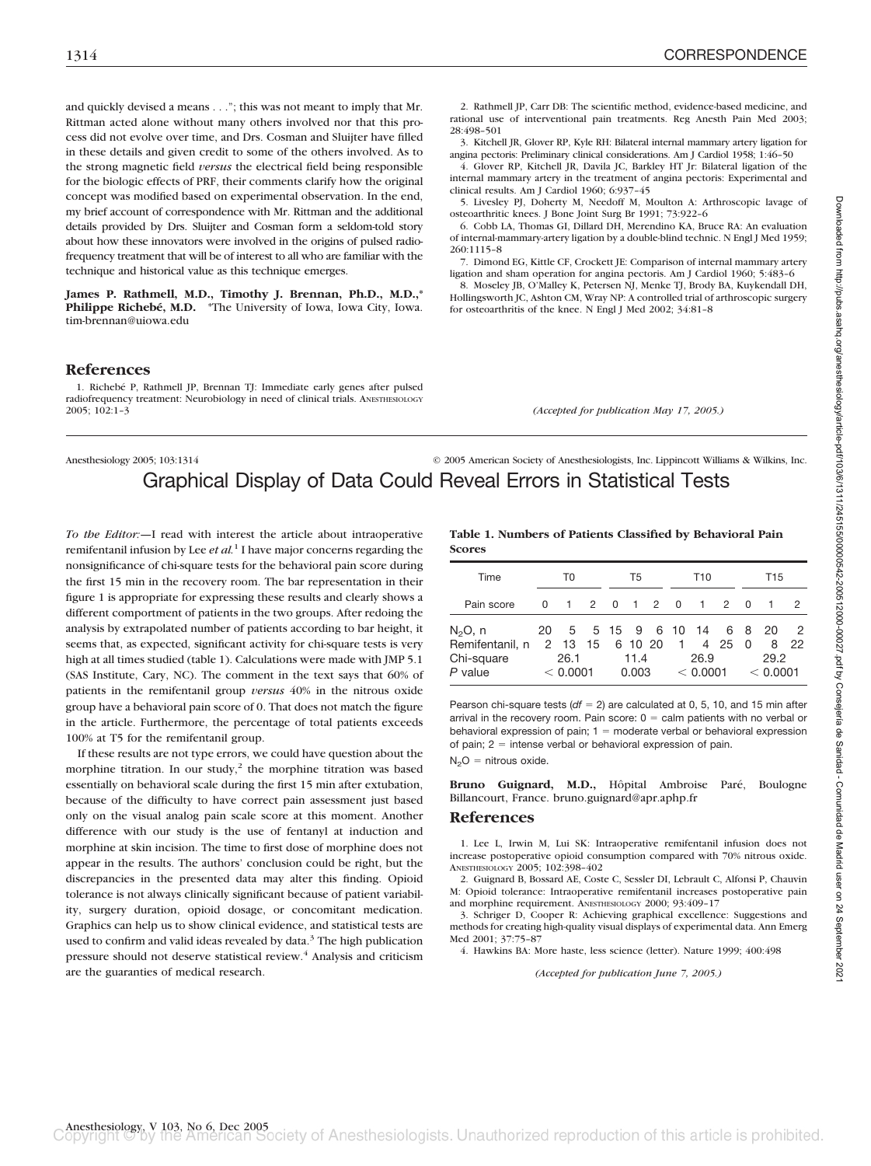and quickly devised a means . . ."; this was not meant to imply that Mr. Rittman acted alone without many others involved nor that this process did not evolve over time, and Drs. Cosman and Sluijter have filled in these details and given credit to some of the others involved. As to the strong magnetic field *versus* the electrical field being responsible for the biologic effects of PRF, their comments clarify how the original concept was modified based on experimental observation. In the end, my brief account of correspondence with Mr. Rittman and the additional details provided by Drs. Sluijter and Cosman form a seldom-told story about how these innovators were involved in the origins of pulsed radiofrequency treatment that will be of interest to all who are familiar with the technique and historical value as this technique emerges.

**James P. Rathmell, M.D., Timothy J. Brennan, Ph.D., M.D.,\*** Philippe Richebé, M.D. \*The University of Iowa, Iowa City, Iowa. tim-brennan@uiowa.edu

#### **References**

1. Richebé P, Rathmell JP, Brennan TJ: Immediate early genes after pulsed radiofrequency treatment: Neurobiology in need of clinical trials. ANESTHESIOLOGY 2005; 102:1–3

2. Rathmell JP, Carr DB: The scientific method, evidence-based medicine, and rational use of interventional pain treatments. Reg Anesth Pain Med 2003; 28:498–501

3. Kitchell JR, Glover RP, Kyle RH: Bilateral internal mammary artery ligation for angina pectoris: Preliminary clinical considerations. Am J Cardiol 1958; 1:46–50

4. Glover RP, Kitchell JR, Davila JC, Barkley HT Jr: Bilateral ligation of the internal mammary artery in the treatment of angina pectoris: Experimental and clinical results. Am J Cardiol 1960; 6:937–45

5. Livesley PJ, Doherty M, Needoff M, Moulton A: Arthroscopic lavage of osteoarthritic knees. J Bone Joint Surg Br 1991; 73:922–6

6. Cobb LA, Thomas GI, Dillard DH, Merendino KA, Bruce RA: An evaluation of internal-mammary-artery ligation by a double-blind technic. N Engl J Med 1959; 260:1115–8

7. Dimond EG, Kittle CF, Crockett JE: Comparison of internal mammary artery ligation and sham operation for angina pectoris. Am J Cardiol 1960; 5:483–6

8. Moseley JB, O'Malley K, Petersen NJ, Menke TJ, Brody BA, Kuykendall DH, Hollingsworth JC, Ashton CM, Wray NP: A controlled trial of arthroscopic surgery for osteoarthritis of the knee. N Engl J Med 2002; 34:81–8

*(Accepted for publication May 17, 2005.)*

## Anesthesiology 2005; 103:1314 © 2005 American Society of Anesthesiologists, Inc. Lippincott Williams & Wilkins, Inc. Graphical Display of Data Could Reveal Errors in Statistical Tests

*To the Editor:—*I read with interest the article about intraoperative remifentanil infusion by Lee *et al.*<sup>1</sup> I have major concerns regarding the nonsignificance of chi-square tests for the behavioral pain score during the first 15 min in the recovery room. The bar representation in their figure 1 is appropriate for expressing these results and clearly shows a different comportment of patients in the two groups. After redoing the analysis by extrapolated number of patients according to bar height, it seems that, as expected, significant activity for chi-square tests is very high at all times studied (table 1). Calculations were made with JMP 5.1 (SAS Institute, Cary, NC). The comment in the text says that 60% of patients in the remifentanil group *versus* 40% in the nitrous oxide group have a behavioral pain score of 0. That does not match the figure in the article. Furthermore, the percentage of total patients exceeds 100% at T5 for the remifentanil group.

If these results are not type errors, we could have question about the morphine titration. In our study, $2$  the morphine titration was based essentially on behavioral scale during the first 15 min after extubation, because of the difficulty to have correct pain assessment just based only on the visual analog pain scale score at this moment. Another difference with our study is the use of fentanyl at induction and morphine at skin incision. The time to first dose of morphine does not appear in the results. The authors' conclusion could be right, but the discrepancies in the presented data may alter this finding. Opioid tolerance is not always clinically significant because of patient variability, surgery duration, opioid dosage, or concomitant medication. Graphics can help us to show clinical evidence, and statistical tests are used to confirm and valid ideas revealed by data.<sup>3</sup> The high publication pressure should not deserve statistical review.<sup>4</sup> Analysis and criticism are the guaranties of medical research.

**Table 1. Numbers of Patients Classified by Behavioral Pain Scores**

| Time                                                                    | T0 |                                                |  | T5 |               |  | T <sub>10</sub>            | T15            |                  |               |
|-------------------------------------------------------------------------|----|------------------------------------------------|--|----|---------------|--|----------------------------|----------------|------------------|---------------|
| Pain score                                                              | 0  | 1 2 0 1 2 0 1 2 0                              |  |    |               |  |                            |                | $\overline{1}$   | $\mathcal{P}$ |
| $N2O$ , n<br>Remifentanil, n 2 13 15 6 10 20<br>Chi-square<br>$P$ value |    | 20 5 5 15 9 6 10 14 6 8 20<br>26.1<br>< 0.0001 |  |    | 11.4<br>0.003 |  | 1 4 25<br>26.9<br>< 0.0001 | $\overline{0}$ | 29.2<br>< 0.0001 | - 2<br>8 22   |

Pearson chi-square tests  $(df = 2)$  are calculated at 0, 5, 10, and 15 min after arrival in the recovery room. Pain score:  $0 =$  calm patients with no verbal or behavioral expression of pain:  $1 =$  moderate verbal or behavioral expression of pain;  $2 =$  intense verbal or behavioral expression of pain.

 $N_2O$  = nitrous oxide.

Bruno Guignard, M.D., Hôpital Ambroise Paré, Boulogne Billancourt, France. bruno.guignard@apr.aphp.fr

#### **References**

1. Lee L, Irwin M, Lui SK: Intraoperative remifentanil infusion does not increase postoperative opioid consumption compared with 70% nitrous oxide. ANESTHESIOLOGY 2005; 102:398–402

2. Guignard B, Bossard AE, Coste C, Sessler DI, Lebrault C, Alfonsi P, Chauvin M: Opioid tolerance: Intraoperative remifentanil increases postoperative pain and morphine requirement. ANESTHESIOLOGY 2000; 93:409–17

3. Schriger D, Cooper R: Achieving graphical excellence: Suggestions and methods for creating high-quality visual displays of experimental data. Ann Emerg Med 2001; 37:75–87

4. Hawkins BA: More haste, less science (letter). Nature 1999; 400:498

*(Accepted for publication June 7, 2005.)*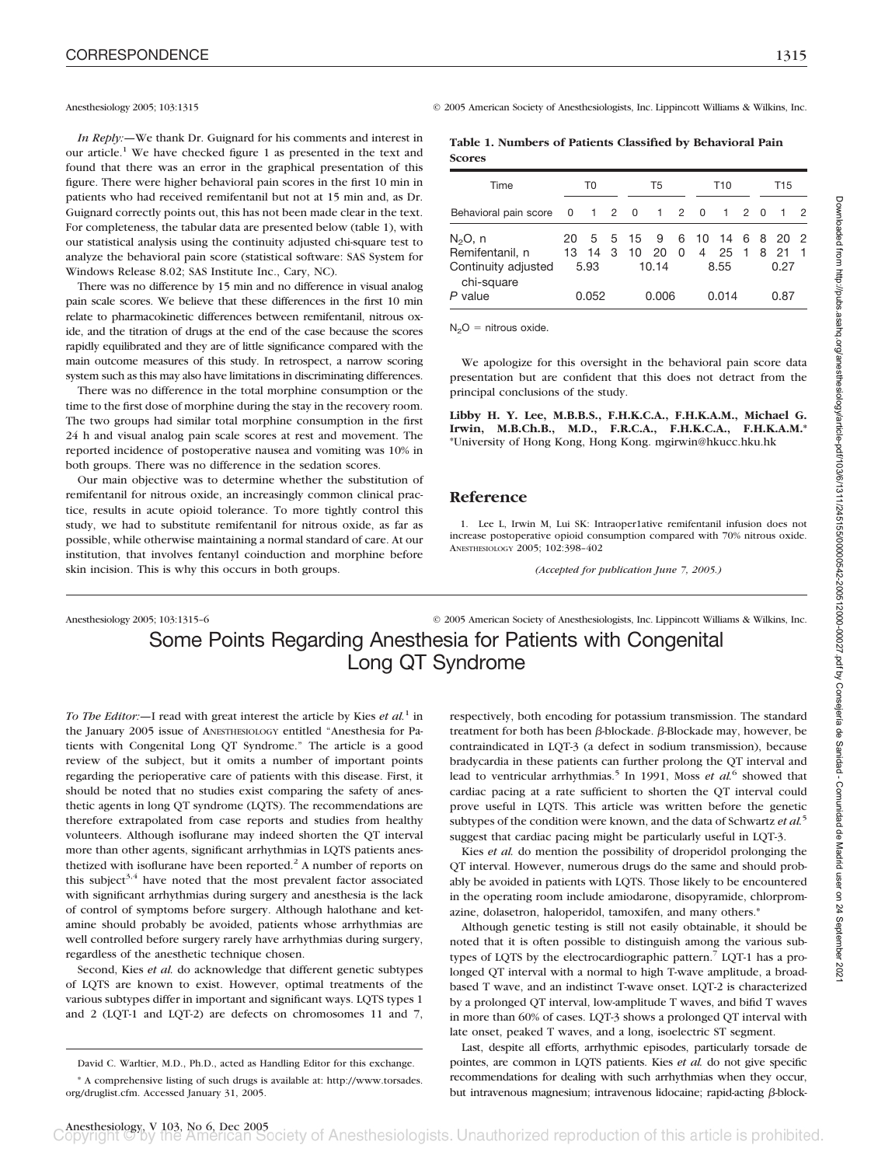#### Anesthesiology 2005; 103:1315 © 2005 American Society of Anesthesiologists, Inc. Lippincott Williams & Wilkins, Inc.

*In Reply:—*We thank Dr. Guignard for his comments and interest in our article.1 We have checked figure 1 as presented in the text and found that there was an error in the graphical presentation of this figure. There were higher behavioral pain scores in the first 10 min in patients who had received remifentanil but not at 15 min and, as Dr. Guignard correctly points out, this has not been made clear in the text. For completeness, the tabular data are presented below (table 1), with our statistical analysis using the continuity adjusted chi-square test to analyze the behavioral pain score (statistical software: SAS System for Windows Release 8.02; SAS Institute Inc., Cary, NC).

There was no difference by 15 min and no difference in visual analog pain scale scores. We believe that these differences in the first 10 min relate to pharmacokinetic differences between remifentanil, nitrous oxide, and the titration of drugs at the end of the case because the scores rapidly equilibrated and they are of little significance compared with the main outcome measures of this study. In retrospect, a narrow scoring system such as this may also have limitations in discriminating differences.

There was no difference in the total morphine consumption or the time to the first dose of morphine during the stay in the recovery room. The two groups had similar total morphine consumption in the first 24 h and visual analog pain scale scores at rest and movement. The reported incidence of postoperative nausea and vomiting was 10% in both groups. There was no difference in the sedation scores.

Our main objective was to determine whether the substitution of remifentanil for nitrous oxide, an increasingly common clinical practice, results in acute opioid tolerance. To more tightly control this study, we had to substitute remifentanil for nitrous oxide, as far as possible, while otherwise maintaining a normal standard of care. At our institution, that involves fentanyl coinduction and morphine before skin incision. This is why this occurs in both groups.

#### **Table 1. Numbers of Patients Classified by Behavioral Pain Scores**

| Time                                                                        | T0       |                      |  | T5           |                   |               | T <sub>10</sub> |                                  |  | T15  |                |                                  |
|-----------------------------------------------------------------------------|----------|----------------------|--|--------------|-------------------|---------------|-----------------|----------------------------------|--|------|----------------|----------------------------------|
| Behavioral pain score 0 1 2 0 1 2 0                                         |          |                      |  |              |                   |               |                 | 1 2 0                            |  |      | $\overline{1}$ | $\overline{2}$                   |
| N <sub>2</sub> O, n<br>Remifentanil, n<br>Continuity adjusted<br>chi-square | 20<br>13 | $14 \quad 3$<br>5.93 |  | 5 5 15<br>10 | -9<br>20<br>10.14 | 6<br>$\Omega$ | - 10            | 14 6 8 20<br>4 25 1 8 21<br>8.55 |  |      | 0.27           | $\overline{2}$<br>$\overline{1}$ |
| P value                                                                     | 0.052    |                      |  | 0.006        |                   |               | 0.014           |                                  |  | 0.87 |                |                                  |

 $N_2O$  = nitrous oxide.

We apologize for this oversight in the behavioral pain score data presentation but are confident that this does not detract from the principal conclusions of the study.

**Libby H. Y. Lee, M.B.B.S., F.H.K.C.A., F.H.K.A.M., Michael G. Irwin, M.B.Ch.B., M.D., F.R.C.A., F.H.K.C.A., F.H.K.A.M.\*** \*University of Hong Kong, Hong Kong. mgirwin@hkucc.hku.hk

### **Reference**

1. Lee L, Irwin M, Lui SK: Intraoper1ative remifentanil infusion does not increase postoperative opioid consumption compared with 70% nitrous oxide. ANESTHESIOLOGY 2005; 102:398–402

*(Accepted for publication June 7, 2005.)*

## Anesthesiology 2005; 103:1315–6 © 2005 American Society of Anesthesiologists, Inc. Lippincott Williams & Wilkins, Inc. Some Points Regarding Anesthesia for Patients with Congenital Long QT Syndrome

*To The Editor:*—I read with great interest the article by Kies *et al.*<sup>1</sup> in the January 2005 issue of ANESTHESIOLOGY entitled "Anesthesia for Patients with Congenital Long QT Syndrome." The article is a good review of the subject, but it omits a number of important points regarding the perioperative care of patients with this disease. First, it should be noted that no studies exist comparing the safety of anesthetic agents in long QT syndrome (LQTS). The recommendations are therefore extrapolated from case reports and studies from healthy volunteers. Although isoflurane may indeed shorten the QT interval more than other agents, significant arrhythmias in LQTS patients anesthetized with isoflurane have been reported.<sup>2</sup> A number of reports on this subject<sup>3,4</sup> have noted that the most prevalent factor associated with significant arrhythmias during surgery and anesthesia is the lack of control of symptoms before surgery. Although halothane and ketamine should probably be avoided, patients whose arrhythmias are well controlled before surgery rarely have arrhythmias during surgery, regardless of the anesthetic technique chosen.

Second, Kies *et al.* do acknowledge that different genetic subtypes of LQTS are known to exist. However, optimal treatments of the various subtypes differ in important and significant ways. LQTS types 1 and 2 (LQT-1 and LQT-2) are defects on chromosomes 11 and 7,

respectively, both encoding for potassium transmission. The standard treatment for both has been  $\beta$ -blockade.  $\beta$ -Blockade may, however, be contraindicated in LQT-3 (a defect in sodium transmission), because bradycardia in these patients can further prolong the QT interval and lead to ventricular arrhythmias.<sup>5</sup> In 1991, Moss *et al.*<sup>6</sup> showed that cardiac pacing at a rate sufficient to shorten the QT interval could prove useful in LQTS. This article was written before the genetic subtypes of the condition were known, and the data of Schwartz *et al.*<sup>5</sup> suggest that cardiac pacing might be particularly useful in LQT-3.

Kies *et al.* do mention the possibility of droperidol prolonging the QT interval. However, numerous drugs do the same and should probably be avoided in patients with LQTS. Those likely to be encountered in the operating room include amiodarone, disopyramide, chlorpromazine, dolasetron, haloperidol, tamoxifen, and many others.\*

Although genetic testing is still not easily obtainable, it should be noted that it is often possible to distinguish among the various subtypes of LQTS by the electrocardiographic pattern.<sup>7</sup> LQT-1 has a prolonged QT interval with a normal to high T-wave amplitude, a broadbased T wave, and an indistinct T-wave onset. LQT-2 is characterized by a prolonged QT interval, low-amplitude T waves, and bifid T waves in more than 60% of cases. LQT-3 shows a prolonged QT interval with late onset, peaked T waves, and a long, isoelectric ST segment.

Last, despite all efforts, arrhythmic episodes, particularly torsade de pointes, are common in LQTS patients. Kies *et al.* do not give specific recommendations for dealing with such arrhythmias when they occur, but intravenous magnesium; intravenous lidocaine; rapid-acting  $\beta$ -block-

David C. Warltier, M.D., Ph.D., acted as Handling Editor for this exchange.

<sup>\*</sup> A comprehensive listing of such drugs is available at: http://www.torsades. org/druglist.cfm. Accessed January 31, 2005.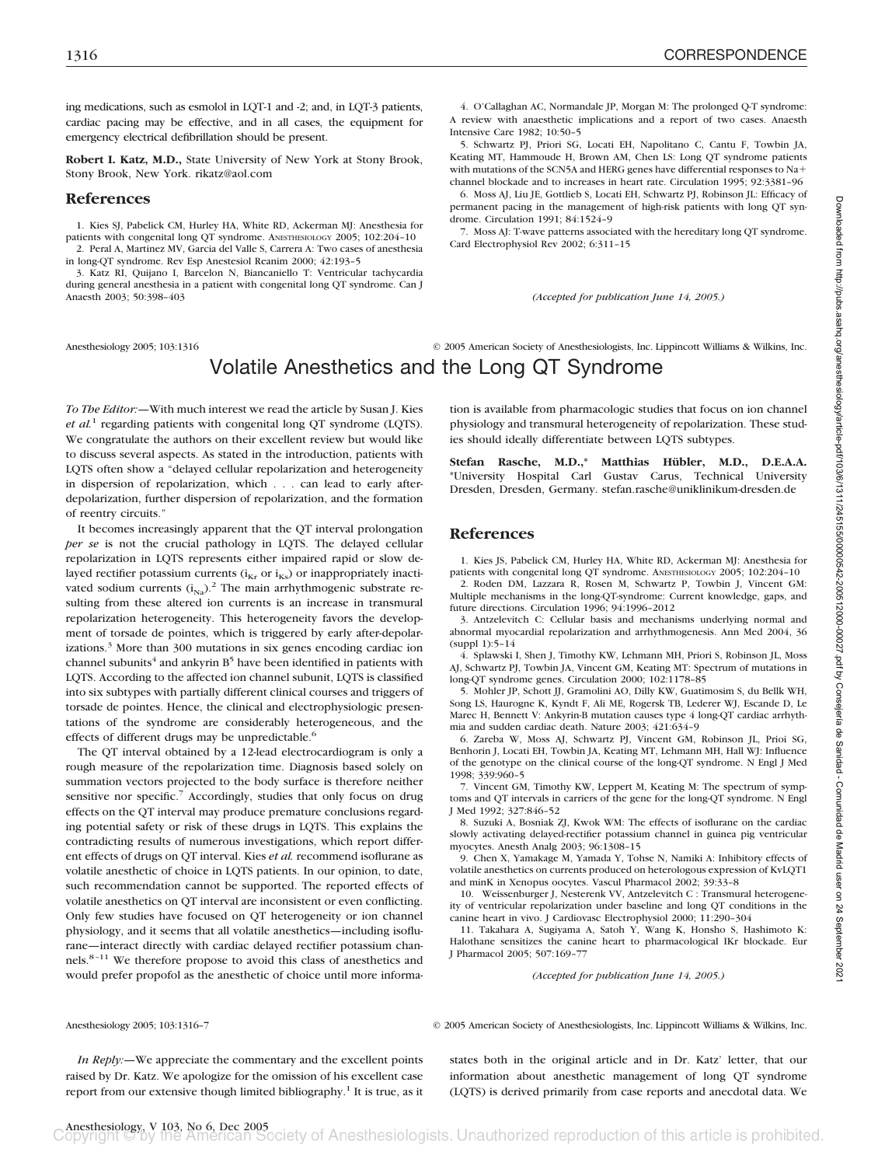ing medications, such as esmolol in LQT-1 and -2; and, in LQT-3 patients, cardiac pacing may be effective, and in all cases, the equipment for emergency electrical defibrillation should be present.

**Robert I. Katz, M.D.,** State University of New York at Stony Brook, Stony Brook, New York. rikatz@aol.com

#### **References**

1. Kies SJ, Pabelick CM, Hurley HA, White RD, Ackerman MJ: Anesthesia for patients with congenital long QT syndrome. ANESTHESIOLOGY 2005; 102:204–10 2. Peral A, Martinez MV, Garcia del Valle S, Carrera A: Two cases of anesthesia

in long-QT syndrome. Rev Esp Anestesiol Reanim 2000; 42:193–5 3. Katz RI, Quijano I, Barcelon N, Biancaniello T: Ventricular tachycardia during general anesthesia in a patient with congenital long QT syndrome. Can J

Anaesth 2003; 50:398–403

4. O'Callaghan AC, Normandale JP, Morgan M: The prolonged Q-T syndrome: A review with anaesthetic implications and a report of two cases. Anaesth Intensive Care 1982; 10:50–5

5. Schwartz PJ, Priori SG, Locati EH, Napolitano C, Cantu F, Towbin JA, Keating MT, Hammoude H, Brown AM, Chen LS: Long QT syndrome patients with mutations of the SCN5A and HERG genes have differential responses to Na channel blockade and to increases in heart rate. Circulation 1995; 92:3381–96

6. Moss AJ, Liu JE, Gottlieb S, Locati EH, Schwartz PJ, Robinson JL: Efficacy of permanent pacing in the management of high-risk patients with long QT syndrome. Circulation 1991; 84:1524–9

7. Moss AJ: T-wave patterns associated with the hereditary long QT syndrome. Card Electrophysiol Rev 2002; 6:311–15

*(Accepted for publication June 14, 2005.)*

Anesthesiology 2005; 103:1316 © 2005 American Society of Anesthesiologists, Inc. Lippincott Williams & Wilkins, Inc.

# Volatile Anesthetics and the Long QT Syndrome

*To The Editor:—*With much interest we read the article by Susan J. Kies *et al.*<sup>1</sup> regarding patients with congenital long QT syndrome (LQTS). We congratulate the authors on their excellent review but would like to discuss several aspects. As stated in the introduction, patients with LQTS often show a "delayed cellular repolarization and heterogeneity in dispersion of repolarization, which . . . can lead to early afterdepolarization, further dispersion of repolarization, and the formation of reentry circuits."

It becomes increasingly apparent that the QT interval prolongation *per se* is not the crucial pathology in LQTS. The delayed cellular repolarization in LQTS represents either impaired rapid or slow delayed rectifier potassium currents ( $i_{Kr}$  or  $i_{Ks}$ ) or inappropriately inactivated sodium currents  $(i_{Na})$ .<sup>2</sup> The main arrhythmogenic substrate resulting from these altered ion currents is an increase in transmural repolarization heterogeneity. This heterogeneity favors the development of torsade de pointes, which is triggered by early after-depolarizations. $3$  More than 300 mutations in six genes encoding cardiac ion channel subunits<sup>4</sup> and ankyrin  $B<sup>5</sup>$  have been identified in patients with LQTS. According to the affected ion channel subunit, LQTS is classified into six subtypes with partially different clinical courses and triggers of torsade de pointes. Hence, the clinical and electrophysiologic presentations of the syndrome are considerably heterogeneous, and the effects of different drugs may be unpredictable.<sup>6</sup>

The QT interval obtained by a 12-lead electrocardiogram is only a rough measure of the repolarization time. Diagnosis based solely on summation vectors projected to the body surface is therefore neither sensitive nor specific.<sup>7</sup> Accordingly, studies that only focus on drug effects on the QT interval may produce premature conclusions regarding potential safety or risk of these drugs in LQTS. This explains the contradicting results of numerous investigations, which report different effects of drugs on QT interval. Kies *et al.* recommend isoflurane as volatile anesthetic of choice in LQTS patients. In our opinion, to date, such recommendation cannot be supported. The reported effects of volatile anesthetics on QT interval are inconsistent or even conflicting. Only few studies have focused on QT heterogeneity or ion channel physiology, and it seems that all volatile anesthetics—including isoflurane—interact directly with cardiac delayed rectifier potassium channels.8–11 We therefore propose to avoid this class of anesthetics and would prefer propofol as the anesthetic of choice until more informa-

tion is available from pharmacologic studies that focus on ion channel physiology and transmural heterogeneity of repolarization. These studies should ideally differentiate between LQTS subtypes.

Stefan Rasche, M.D.,\* Matthias Hübler, M.D., D.E.A.A. \*University Hospital Carl Gustav Carus, Technical University Dresden, Dresden, Germany. stefan.rasche@uniklinikum-dresden.de

#### **References**

1. Kies JS, Pabelick CM, Hurley HA, White RD, Ackerman MJ: Anesthesia for patients with congenital long QT syndrome. ANESTHESIOLOGY 2005; 102:204–10 2. Roden DM, Lazzara R, Rosen M, Schwartz P, Towbin J, Vincent GM:

Multiple mechanisms in the long-QT-syndrome: Current knowledge, gaps, and future directions. Circulation 1996; 94:1996–2012

3. Antzelevitch C: Cellular basis and mechanisms underlying normal and abnormal myocardial repolarization and arrhythmogenesis. Ann Med 2004, 36 (suppl 1):5–14

4. Splawski I, Shen J, Timothy KW, Lehmann MH, Priori S, Robinson JL, Moss AJ, Schwartz PJ, Towbin JA, Vincent GM, Keating MT: Spectrum of mutations in long-QT syndrome genes. Circulation 2000; 102:1178–85

5. Mohler JP, Schott JJ, Gramolini AO, Dilly KW, Guatimosim S, du Bellk WH, Song LS, Haurogne K, Kyndt F, Ali ME, Rogersk TB, Lederer WJ, Escande D, Le Marec H, Bennett V: Ankyrin-B mutation causes type 4 long-QT cardiac arrhythmia and sudden cardiac death. Nature 2003; 421:634–9

6. Zareba W, Moss AJ, Schwartz PJ, Vincent GM, Robinson JL, Prioi SG, Benhorin J, Locati EH, Towbin JA, Keating MT, Lehmann MH, Hall WJ: Influence of the genotype on the clinical course of the long-QT syndrome. N Engl J Med 1998; 339:960–5

7. Vincent GM, Timothy KW, Leppert M, Keating M: The spectrum of symptoms and QT intervals in carriers of the gene for the long-QT syndrome. N Engl J Med 1992; 327:846–52

8. Suzuki A, Bosniak ZJ, Kwok WM: The effects of isoflurane on the cardiac slowly activating delayed-rectifier potassium channel in guinea pig ventricular myocytes. Anesth Analg 2003; 96:1308–15

9. Chen X, Yamakage M, Yamada Y, Tohse N, Namiki A: Inhibitory effects of volatile anesthetics on currents produced on heterologous expression of KvLQT1 and minK in Xenopus oocytes. Vascul Pharmacol 2002; 39:33–8

10. Weissenburger J, Nesterenk VV, Antzelevitch C : Transmural heterogeneity of ventricular repolarization under baseline and long QT conditions in the canine heart in vivo. J Cardiovasc Electrophysiol 2000; 11:290–304

11. Takahara A, Sugiyama A, Satoh Y, Wang K, Honsho S, Hashimoto K: Halothane sensitizes the canine heart to pharmacological IKr blockade. Eur J Pharmacol 2005; 507:169–77

*(Accepted for publication June 14, 2005.)*

Anesthesiology 2005; 103:1316-7 © 2005 American Society of Anesthesiologists, Inc. Lippincott Williams & Wilkins, Inc.

*In Reply:—*We appreciate the commentary and the excellent points raised by Dr. Katz. We apologize for the omission of his excellent case report from our extensive though limited bibliography.<sup>1</sup> It is true, as it states both in the original article and in Dr. Katz' letter, that our information about anesthetic management of long QT syndrome (LQTS) is derived primarily from case reports and anecdotal data. We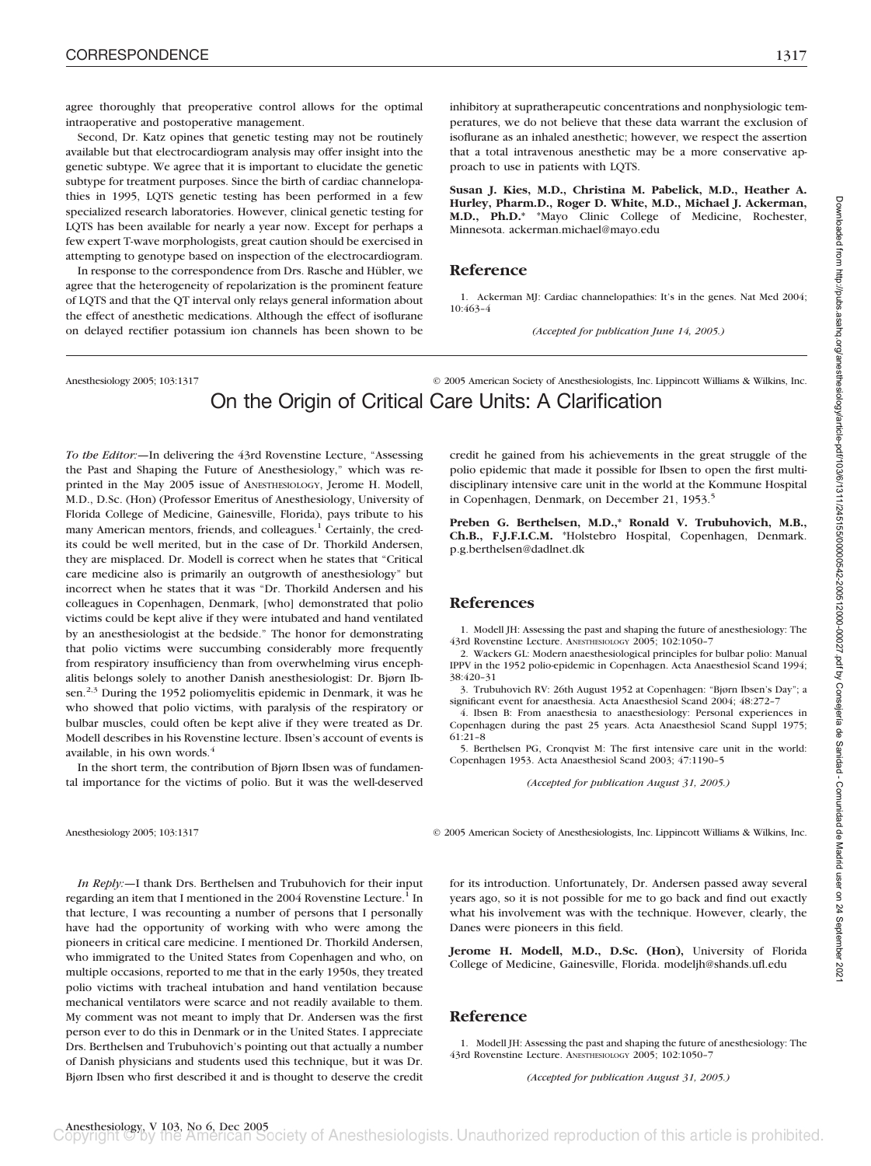agree thoroughly that preoperative control allows for the optimal intraoperative and postoperative management.

Second, Dr. Katz opines that genetic testing may not be routinely available but that electrocardiogram analysis may offer insight into the genetic subtype. We agree that it is important to elucidate the genetic subtype for treatment purposes. Since the birth of cardiac channelopathies in 1995, LQTS genetic testing has been performed in a few specialized research laboratories. However, clinical genetic testing for LQTS has been available for nearly a year now. Except for perhaps a few expert T-wave morphologists, great caution should be exercised in attempting to genotype based on inspection of the electrocardiogram.

In response to the correspondence from Drs. Rasche and Hübler, we agree that the heterogeneity of repolarization is the prominent feature of LQTS and that the QT interval only relays general information about the effect of anesthetic medications. Although the effect of isoflurane on delayed rectifier potassium ion channels has been shown to be inhibitory at supratherapeutic concentrations and nonphysiologic temperatures, we do not believe that these data warrant the exclusion of isoflurane as an inhaled anesthetic; however, we respect the assertion that a total intravenous anesthetic may be a more conservative approach to use in patients with LQTS.

**Susan J. Kies, M.D., Christina M. Pabelick, M.D., Heather A. Hurley, Pharm.D., Roger D. White, M.D., Michael J. Ackerman, M.D., Ph.D.\*** \*Mayo Clinic College of Medicine, Rochester, Minnesota. ackerman.michael@mayo.edu

#### **Reference**

1. Ackerman MJ: Cardiac channelopathies: It's in the genes. Nat Med 2004; 10:463–4

*(Accepted for publication June 14, 2005.)*

Anesthesiology 2005; 103:1317 © 2005 American Society of Anesthesiologists, Inc. Lippincott Williams & Wilkins, Inc.

On the Origin of Critical Care Units: A Clarification

*To the Editor:—*In delivering the 43rd Rovenstine Lecture, "Assessing the Past and Shaping the Future of Anesthesiology," which was reprinted in the May 2005 issue of ANESTHESIOLOGY, Jerome H. Modell, M.D., D.Sc. (Hon) (Professor Emeritus of Anesthesiology, University of Florida College of Medicine, Gainesville, Florida), pays tribute to his many American mentors, friends, and colleagues.<sup>1</sup> Certainly, the credits could be well merited, but in the case of Dr. Thorkild Andersen, they are misplaced. Dr. Modell is correct when he states that "Critical care medicine also is primarily an outgrowth of anesthesiology" but incorrect when he states that it was "Dr. Thorkild Andersen and his colleagues in Copenhagen, Denmark, [who] demonstrated that polio victims could be kept alive if they were intubated and hand ventilated by an anesthesiologist at the bedside." The honor for demonstrating that polio victims were succumbing considerably more frequently from respiratory insufficiency than from overwhelming virus encephalitis belongs solely to another Danish anesthesiologist: Dr. Bjørn Ibsen.<sup>2,3</sup> During the 1952 poliomyelitis epidemic in Denmark, it was he who showed that polio victims, with paralysis of the respiratory or bulbar muscles, could often be kept alive if they were treated as Dr. Modell describes in his Rovenstine lecture. Ibsen's account of events is available, in his own words. $4$ 

In the short term, the contribution of Bjørn Ibsen was of fundamental importance for the victims of polio. But it was the well-deserved

*In Reply:—*I thank Drs. Berthelsen and Trubuhovich for their input regarding an item that I mentioned in the 2004 Rovenstine Lecture.<sup>1</sup> In that lecture, I was recounting a number of persons that I personally have had the opportunity of working with who were among the pioneers in critical care medicine. I mentioned Dr. Thorkild Andersen, who immigrated to the United States from Copenhagen and who, on multiple occasions, reported to me that in the early 1950s, they treated polio victims with tracheal intubation and hand ventilation because mechanical ventilators were scarce and not readily available to them. My comment was not meant to imply that Dr. Andersen was the first person ever to do this in Denmark or in the United States. I appreciate Drs. Berthelsen and Trubuhovich's pointing out that actually a number of Danish physicians and students used this technique, but it was Dr. Bjørn Ibsen who first described it and is thought to deserve the credit

credit he gained from his achievements in the great struggle of the polio epidemic that made it possible for Ibsen to open the first multidisciplinary intensive care unit in the world at the Kommune Hospital in Copenhagen, Denmark, on December 21, 1953.<sup>5</sup>

**Preben G. Berthelsen, M.D.,\* Ronald V. Trubuhovich, M.B., Ch.B., F.J.F.I.C.M.** \*Holstebro Hospital, Copenhagen, Denmark. p.g.berthelsen@dadlnet.dk

## **References**

1. Modell JH: Assessing the past and shaping the future of anesthesiology: The 43rd Rovenstine Lecture. ANESTHESIOLOGY 2005; 102:1050–7

2. Wackers GL: Modern anaesthesiological principles for bulbar polio: Manual IPPV in the 1952 polio-epidemic in Copenhagen. Acta Anaesthesiol Scand 1994; 38:420–31

3. Trubuhovich RV: 26th August 1952 at Copenhagen: "Bjørn Ibsen's Day"; a significant event for anaesthesia. Acta Anaesthesiol Scand 2004; 48:272-7

4. Ibsen B: From anaesthesia to anaesthesiology: Personal experiences in Copenhagen during the past 25 years. Acta Anaesthesiol Scand Suppl 1975; 61:21–8

5. Berthelsen PG, Cronqvist M: The first intensive care unit in the world: Copenhagen 1953. Acta Anaesthesiol Scand 2003; 47:1190–5

*(Accepted for publication August 31, 2005.)*

Anesthesiology 2005; 103:1317 © 2005 American Society of Anesthesiologists, Inc. Lippincott Williams & Wilkins, Inc.

for its introduction. Unfortunately, Dr. Andersen passed away several years ago, so it is not possible for me to go back and find out exactly what his involvement was with the technique. However, clearly, the Danes were pioneers in this field.

**Jerome H. Modell, M.D., D.Sc. (Hon),** University of Florida College of Medicine, Gainesville, Florida. modeljh@shands.ufl.edu

#### **Reference**

1. Modell JH: Assessing the past and shaping the future of anesthesiology: The 43rd Rovenstine Lecture. ANESTHESIOLOGY 2005; 102:1050–7

*(Accepted for publication August 31, 2005.)*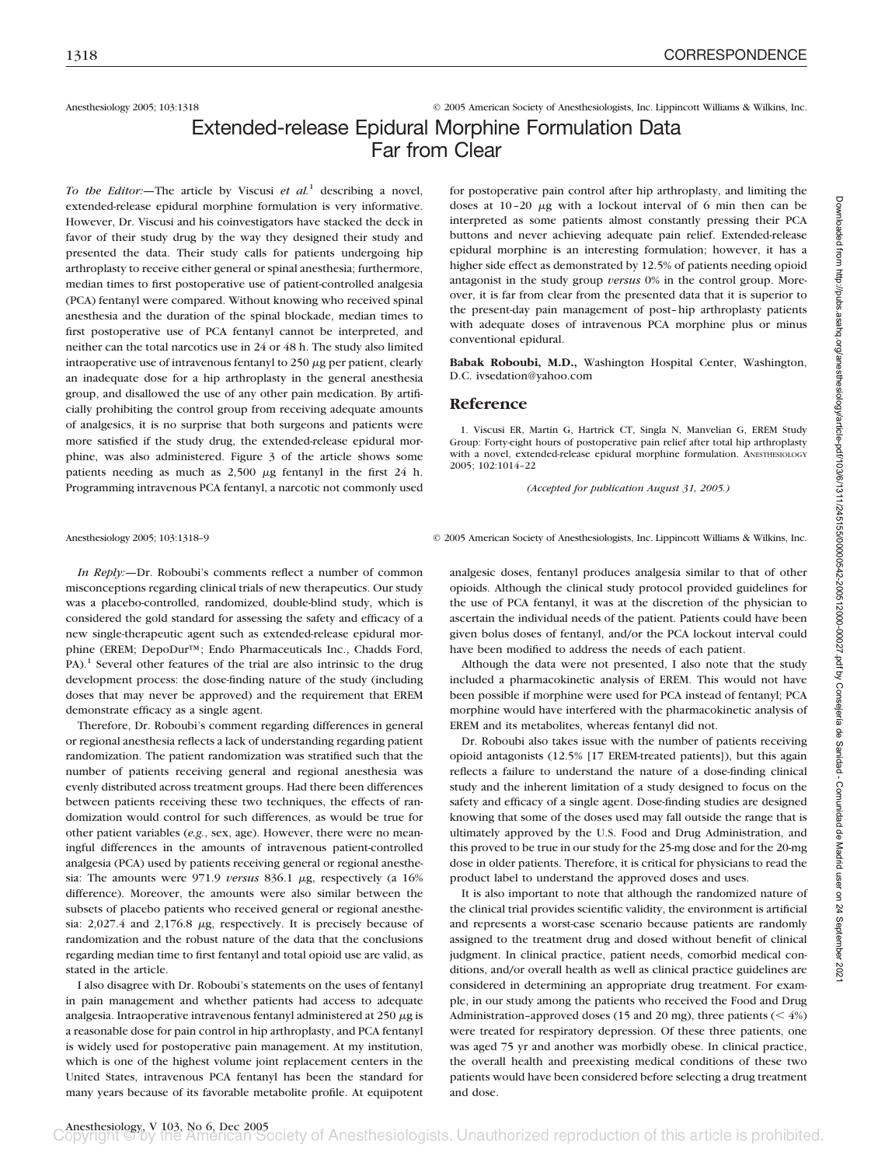Anesthesiology 2005; 103:1318 © 2005 American Society of Anesthesiologists, Inc. Lippincott Williams & Wilkins, Inc.

# Extended-release Epidural Morphine Formulation Data Far from Clear

*To the Editor:—*The article by Viscusi *et al.*<sup>1</sup> describing a novel, extended-release epidural morphine formulation is very informative. However, Dr. Viscusi and his coinvestigators have stacked the deck in favor of their study drug by the way they designed their study and presented the data. Their study calls for patients undergoing hip arthroplasty to receive either general or spinal anesthesia; furthermore, median times to first postoperative use of patient-controlled analgesia (PCA) fentanyl were compared. Without knowing who received spinal anesthesia and the duration of the spinal blockade, median times to first postoperative use of PCA fentanyl cannot be interpreted, and neither can the total narcotics use in 24 or 48 h. The study also limited intraoperative use of intravenous fentanyl to 250 µg per patient, clearly an inadequate dose for a hip arthroplasty in the general anesthesia group, and disallowed the use of any other pain medication. By artificially prohibiting the control group from receiving adequate amounts of analgesics, it is no surprise that both surgeons and patients were more satisfied if the study drug, the extended-release epidural morphine, was also administered. Figure 3 of the article shows some patients needing as much as  $2,500 \mu$ g fentanyl in the first 24 h. Programming intravenous PCA fentanyl, a narcotic not commonly used

*In Reply:—*Dr. Roboubi's comments reflect a number of common misconceptions regarding clinical trials of new therapeutics. Our study was a placebo-controlled, randomized, double-blind study, which is considered the gold standard for assessing the safety and efficacy of a new single-therapeutic agent such as extended-release epidural morphine (EREM; DepoDur™; Endo Pharmaceuticals Inc., Chadds Ford, PA).<sup>1</sup> Several other features of the trial are also intrinsic to the drug development process: the dose-finding nature of the study (including doses that may never be approved) and the requirement that EREM demonstrate efficacy as a single agent.

Therefore, Dr. Roboubi's comment regarding differences in general or regional anesthesia reflects a lack of understanding regarding patient randomization. The patient randomization was stratified such that the number of patients receiving general and regional anesthesia was evenly distributed across treatment groups. Had there been differences between patients receiving these two techniques, the effects of randomization would control for such differences, as would be true for other patient variables (*e.g.*, sex, age). However, there were no meaningful differences in the amounts of intravenous patient-controlled analgesia (PCA) used by patients receiving general or regional anesthesia: The amounts were 971.9 *versus* 836.1 µg, respectively (a 16% difference). Moreover, the amounts were also similar between the subsets of placebo patients who received general or regional anesthesia:  $2,027.4$  and  $2,176.8$   $\mu$ g, respectively. It is precisely because of randomization and the robust nature of the data that the conclusions regarding median time to first fentanyl and total opioid use are valid, as stated in the article.

I also disagree with Dr. Roboubi's statements on the uses of fentanyl in pain management and whether patients had access to adequate analgesia. Intraoperative intravenous fentanyl administered at  $250 \ \mu$ g is a reasonable dose for pain control in hip arthroplasty, and PCA fentanyl is widely used for postoperative pain management. At my institution, which is one of the highest volume joint replacement centers in the United States, intravenous PCA fentanyl has been the standard for many years because of its favorable metabolite profile. At equipotent

for postoperative pain control after hip arthroplasty, and limiting the doses at  $10-20$   $\mu$ g with a lockout interval of 6 min then can be interpreted as some patients almost constantly pressing their PCA buttons and never achieving adequate pain relief. Extended-release epidural morphine is an interesting formulation; however, it has a higher side effect as demonstrated by 12.5% of patients needing opioid antagonist in the study group *versus* 0% in the control group. Moreover, it is far from clear from the presented data that it is superior to the present-day pain management of post–hip arthroplasty patients with adequate doses of intravenous PCA morphine plus or minus conventional epidural.

**Babak Roboubi, M.D.,** Washington Hospital Center, Washington, D.C. ivsedation@yahoo.com

#### **Reference**

1. Viscusi ER, Martin G, Hartrick CT, Singla N, Manvelian G, EREM Study Group: Forty-eight hours of postoperative pain relief after total hip arthroplasty with a novel, extended-release epidural morphine formulation. ANESTHESIOLOGY 2005; 102:1014–22

*(Accepted for publication August 31, 2005.)*

Anesthesiology 2005; 103:1318–9 © 2005 American Society of Anesthesiologists, Inc. Lippincott Williams & Wilkins, Inc.

analgesic doses, fentanyl produces analgesia similar to that of other opioids. Although the clinical study protocol provided guidelines for the use of PCA fentanyl, it was at the discretion of the physician to ascertain the individual needs of the patient. Patients could have been given bolus doses of fentanyl, and/or the PCA lockout interval could have been modified to address the needs of each patient.

Although the data were not presented, I also note that the study included a pharmacokinetic analysis of EREM. This would not have been possible if morphine were used for PCA instead of fentanyl; PCA morphine would have interfered with the pharmacokinetic analysis of EREM and its metabolites, whereas fentanyl did not.

Dr. Roboubi also takes issue with the number of patients receiving opioid antagonists (12.5% [17 EREM-treated patients]), but this again reflects a failure to understand the nature of a dose-finding clinical study and the inherent limitation of a study designed to focus on the safety and efficacy of a single agent. Dose-finding studies are designed knowing that some of the doses used may fall outside the range that is ultimately approved by the U.S. Food and Drug Administration, and this proved to be true in our study for the 25-mg dose and for the 20-mg dose in older patients. Therefore, it is critical for physicians to read the product label to understand the approved doses and uses.

It is also important to note that although the randomized nature of the clinical trial provides scientific validity, the environment is artificial and represents a worst-case scenario because patients are randomly assigned to the treatment drug and dosed without benefit of clinical judgment. In clinical practice, patient needs, comorbid medical conditions, and/or overall health as well as clinical practice guidelines are considered in determining an appropriate drug treatment. For example, in our study among the patients who received the Food and Drug Administration-approved doses (15 and 20 mg), three patients  $(< 4\%)$ were treated for respiratory depression. Of these three patients, one was aged 75 yr and another was morbidly obese. In clinical practice, the overall health and preexisting medical conditions of these two patients would have been considered before selecting a drug treatment and dose.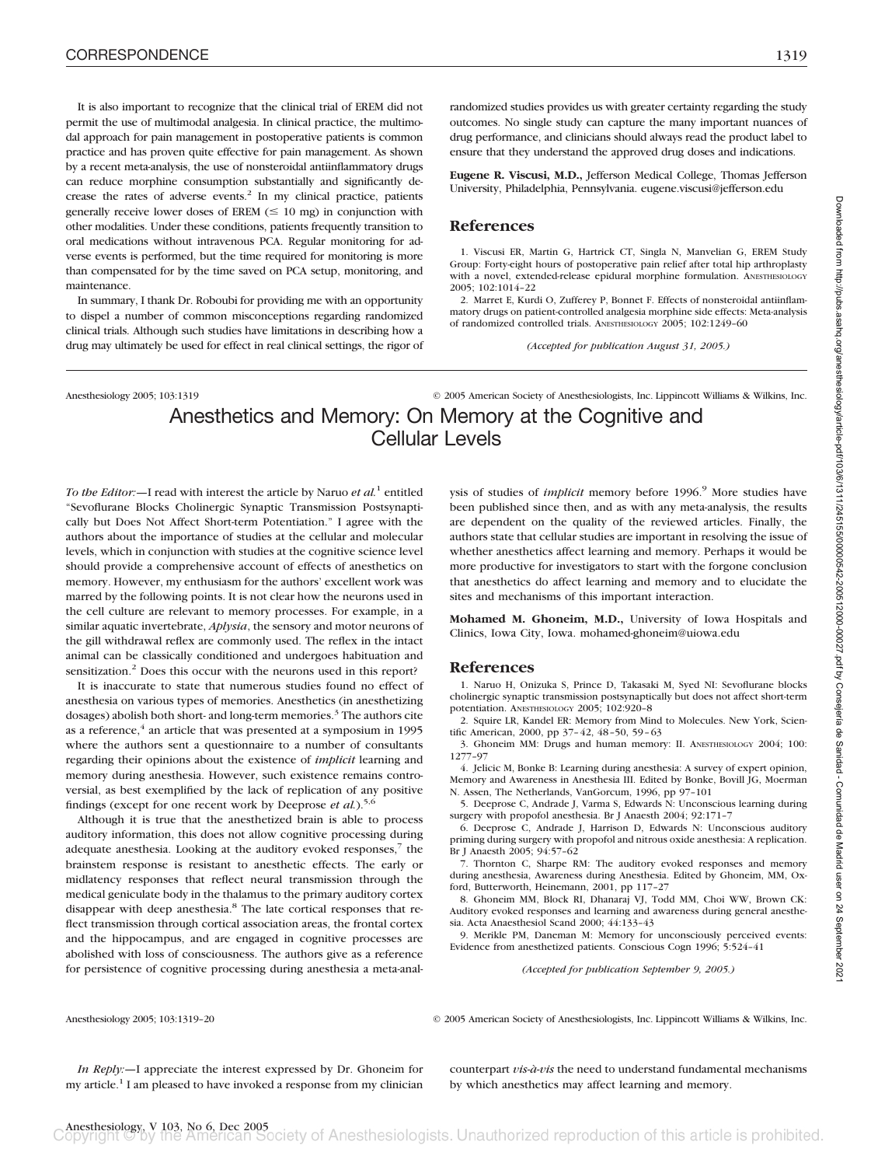It is also important to recognize that the clinical trial of EREM did not permit the use of multimodal analgesia. In clinical practice, the multimodal approach for pain management in postoperative patients is common practice and has proven quite effective for pain management. As shown by a recent meta-analysis, the use of nonsteroidal antiinflammatory drugs can reduce morphine consumption substantially and significantly decrease the rates of adverse events.<sup>2</sup> In my clinical practice, patients generally receive lower doses of EREM  $(\leq 10 \text{ mg})$  in conjunction with other modalities. Under these conditions, patients frequently transition to oral medications without intravenous PCA. Regular monitoring for adverse events is performed, but the time required for monitoring is more than compensated for by the time saved on PCA setup, monitoring, and maintenance.

In summary, I thank Dr. Roboubi for providing me with an opportunity to dispel a number of common misconceptions regarding randomized clinical trials. Although such studies have limitations in describing how a drug may ultimately be used for effect in real clinical settings, the rigor of

randomized studies provides us with greater certainty regarding the study outcomes. No single study can capture the many important nuances of drug performance, and clinicians should always read the product label to ensure that they understand the approved drug doses and indications.

**Eugene R. Viscusi, M.D.,** Jefferson Medical College, Thomas Jefferson University, Philadelphia, Pennsylvania. eugene.viscusi@jefferson.edu

### **References**

1. Viscusi ER, Martin G, Hartrick CT, Singla N, Manvelian G, EREM Study Group: Forty-eight hours of postoperative pain relief after total hip arthroplasty with a novel, extended-release epidural morphine formulation. ANESTHESIOLOGY 2005; 102:1014–22

2. Marret E, Kurdi O, Zufferey P, Bonnet F. Effects of nonsteroidal antiinflammatory drugs on patient-controlled analgesia morphine side effects: Meta-analysis of randomized controlled trials. ANESTHESIOLOGY 2005; 102:1249–60

*(Accepted for publication August 31, 2005.)*

Anesthesiology 2005; 103:1319 © 2005 American Society of Anesthesiologists, Inc. Lippincott Williams & Wilkins, Inc.

# Anesthetics and Memory: On Memory at the Cognitive and Cellular Levels

*To the Editor:—*I read with interest the article by Naruo *et al.*<sup>1</sup> entitled "Sevoflurane Blocks Cholinergic Synaptic Transmission Postsynaptically but Does Not Affect Short-term Potentiation." I agree with the authors about the importance of studies at the cellular and molecular levels, which in conjunction with studies at the cognitive science level should provide a comprehensive account of effects of anesthetics on memory. However, my enthusiasm for the authors' excellent work was marred by the following points. It is not clear how the neurons used in the cell culture are relevant to memory processes. For example, in a similar aquatic invertebrate, *Aplysia*, the sensory and motor neurons of the gill withdrawal reflex are commonly used. The reflex in the intact animal can be classically conditioned and undergoes habituation and sensitization.<sup>2</sup> Does this occur with the neurons used in this report?

It is inaccurate to state that numerous studies found no effect of anesthesia on various types of memories. Anesthetics (in anesthetizing dosages) abolish both short- and long-term memories.<sup>3</sup> The authors cite as a reference, $4$  an article that was presented at a symposium in 1995 where the authors sent a questionnaire to a number of consultants regarding their opinions about the existence of *implicit* learning and memory during anesthesia. However, such existence remains controversial, as best exemplified by the lack of replication of any positive findings (except for one recent work by Deeprose *et al.*).5,6

Although it is true that the anesthetized brain is able to process auditory information, this does not allow cognitive processing during adequate anesthesia. Looking at the auditory evoked responses,<sup>7</sup> the brainstem response is resistant to anesthetic effects. The early or midlatency responses that reflect neural transmission through the medical geniculate body in the thalamus to the primary auditory cortex disappear with deep anesthesia.<sup>8</sup> The late cortical responses that reflect transmission through cortical association areas, the frontal cortex and the hippocampus, and are engaged in cognitive processes are abolished with loss of consciousness. The authors give as a reference for persistence of cognitive processing during anesthesia a meta-analysis of studies of *implicit* memory before 1996.<sup>9</sup> More studies have been published since then, and as with any meta-analysis, the results are dependent on the quality of the reviewed articles. Finally, the authors state that cellular studies are important in resolving the issue of whether anesthetics affect learning and memory. Perhaps it would be more productive for investigators to start with the forgone conclusion that anesthetics do affect learning and memory and to elucidate the sites and mechanisms of this important interaction.

**Mohamed M. Ghoneim, M.D.,** University of Iowa Hospitals and Clinics, Iowa City, Iowa. mohamed-ghoneim@uiowa.edu

#### **References**

1. Naruo H, Onizuka S, Prince D, Takasaki M, Syed NI: Sevoflurane blocks cholinergic synaptic transmission postsynaptically but does not affect short-term potentiation. ANESTHESIOLOGY 2005; 102:920–8

2. Squire LR, Kandel ER: Memory from Mind to Molecules. New York, Scientific American, 2000, pp 37–42, 48–50, 59–63

3. Ghoneim MM: Drugs and human memory: II. ANESTHESIOLOGY 2004; 100: 1277–97

4. Jelicic M, Bonke B: Learning during anesthesia: A survey of expert opinion, Memory and Awareness in Anesthesia III. Edited by Bonke, Bovill JG, Moerman N. Assen, The Netherlands, VanGorcum, 1996, pp 97–101

5. Deeprose C, Andrade J, Varma S, Edwards N: Unconscious learning during surgery with propofol anesthesia. Br J Anaesth 2004; 92:171–7

6. Deeprose C, Andrade J, Harrison D, Edwards N: Unconscious auditory priming during surgery with propofol and nitrous oxide anesthesia: A replication. Br J Anaesth 2005; 94:57–62

7. Thornton C, Sharpe RM: The auditory evoked responses and memory during anesthesia, Awareness during Anesthesia. Edited by Ghoneim, MM, Oxford, Butterworth, Heinemann, 2001, pp 117–27

8. Ghoneim MM, Block RI, Dhanaraj VJ, Todd MM, Choi WW, Brown CK: Auditory evoked responses and learning and awareness during general anesthesia. Acta Anaesthesiol Scand 2000; 44:133–43

9. Merikle PM, Daneman M: Memory for unconsciously perceived events: Evidence from anesthetized patients. Conscious Cogn 1996; 5:524–41

*(Accepted for publication September 9, 2005.)*

Anesthesiology 2005; 103:1319–20 © 2005 American Society of Anesthesiologists, Inc. Lippincott Williams & Wilkins, Inc.

*In Reply:—*I appreciate the interest expressed by Dr. Ghoneim for my article.1 I am pleased to have invoked a response from my clinician

counterpart *vis-a`-vis* the need to understand fundamental mechanisms by which anesthetics may affect learning and memory.

Anesthesiology, V 103, No 6, Dec 2005<br>Jopyright © by the American Society of Anesthesiologists. Unauthorized reproduction of this article is prohibited.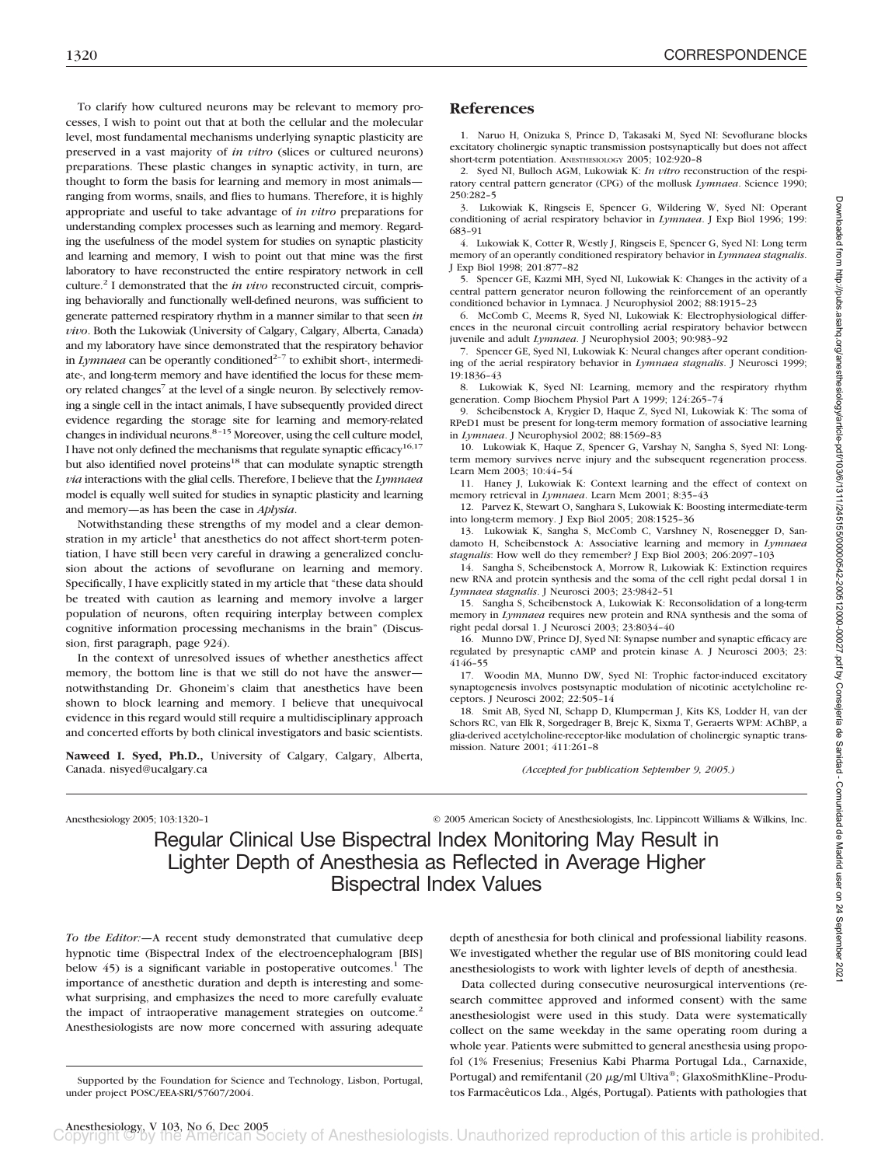To clarify how cultured neurons may be relevant to memory processes, I wish to point out that at both the cellular and the molecular level, most fundamental mechanisms underlying synaptic plasticity are preserved in a vast majority of *in vitro* (slices or cultured neurons) preparations. These plastic changes in synaptic activity, in turn, are thought to form the basis for learning and memory in most animals ranging from worms, snails, and flies to humans. Therefore, it is highly appropriate and useful to take advantage of *in vitro* preparations for understanding complex processes such as learning and memory. Regarding the usefulness of the model system for studies on synaptic plasticity and learning and memory, I wish to point out that mine was the first laboratory to have reconstructed the entire respiratory network in cell culture.2 I demonstrated that the *in vivo* reconstructed circuit, comprising behaviorally and functionally well-defined neurons, was sufficient to generate patterned respiratory rhythm in a manner similar to that seen *in vivo*. Both the Lukowiak (University of Calgary, Calgary, Alberta, Canada) and my laboratory have since demonstrated that the respiratory behavior in *Lymnaea* can be operantly conditioned<sup> $2-7$ </sup> to exhibit short-, intermediate-, and long-term memory and have identified the locus for these memory related changes<sup>7</sup> at the level of a single neuron. By selectively removing a single cell in the intact animals, I have subsequently provided direct evidence regarding the storage site for learning and memory-related changes in individual neurons. $8-15$  Moreover, using the cell culture model, I have not only defined the mechanisms that regulate synaptic efficacy<sup>16,17</sup> but also identified novel proteins<sup>18</sup> that can modulate synaptic strength *via* interactions with the glial cells. Therefore, I believe that the *Lymnaea* model is equally well suited for studies in synaptic plasticity and learning and memory—as has been the case in *Aplysia*.

Notwithstanding these strengths of my model and a clear demonstration in my article<sup>1</sup> that anesthetics do not affect short-term potentiation, I have still been very careful in drawing a generalized conclusion about the actions of sevoflurane on learning and memory. Specifically, I have explicitly stated in my article that "these data should be treated with caution as learning and memory involve a larger population of neurons, often requiring interplay between complex cognitive information processing mechanisms in the brain" (Discussion, first paragraph, page 924).

In the context of unresolved issues of whether anesthetics affect memory, the bottom line is that we still do not have the answer notwithstanding Dr. Ghoneim's claim that anesthetics have been shown to block learning and memory. I believe that unequivocal evidence in this regard would still require a multidisciplinary approach and concerted efforts by both clinical investigators and basic scientists.

**Naweed I. Syed, Ph.D.,** University of Calgary, Calgary, Alberta, Canada. nisyed@ucalgary.ca

## **References**

1. Naruo H, Onizuka S, Prince D, Takasaki M, Syed NI: Sevoflurane blocks excitatory cholinergic synaptic transmission postsynaptically but does not affect short-term potentiation. ANESTHESIOLOGY 2005; 102:920–8

2. Syed NI, Bulloch AGM, Lukowiak K: *In vitro* reconstruction of the respiratory central pattern generator (CPG) of the mollusk *Lymnaea*. Science 1990; 250:282–5

3. Lukowiak K, Ringseis E, Spencer G, Wildering W, Syed NI: Operant conditioning of aerial respiratory behavior in *Lymnaea*. J Exp Biol 1996; 199: 683–91

4. Lukowiak K, Cotter R, Westly J, Ringseis E, Spencer G, Syed NI: Long term memory of an operantly conditioned respiratory behavior in *Lymnaea stagnalis*. J Exp Biol 1998; 201:877–82

5. Spencer GE, Kazmi MH, Syed NI, Lukowiak K: Changes in the activity of a central pattern generator neuron following the reinforcement of an operantly conditioned behavior in Lymnaea. J Neurophysiol 2002; 88:1915–23

6. McComb C, Meems R, Syed NI, Lukowiak K: Electrophysiological differences in the neuronal circuit controlling aerial respiratory behavior between juvenile and adult *Lymnaea*. J Neurophysiol 2003; 90:983–92

7. Spencer GE, Syed NI, Lukowiak K: Neural changes after operant conditioning of the aerial respiratory behavior in *Lymnaea stagnalis*. J Neurosci 1999; 19:1836–43

8. Lukowiak K, Syed NI: Learning, memory and the respiratory rhythm generation. Comp Biochem Physiol Part A 1999; 124:265–74

9. Scheibenstock A, Krygier D, Haque Z, Syed NI, Lukowiak K: The soma of RPeD1 must be present for long-term memory formation of associative learning in *Lymnaea*. J Neurophysiol 2002; 88:1569–83

10. Lukowiak K, Haque Z, Spencer G, Varshay N, Sangha S, Syed NI: Longterm memory survives nerve injury and the subsequent regeneration process. Learn Mem 2003; 10:44–54

11. Haney J, Lukowiak K: Context learning and the effect of context on memory retrieval in *Lymnaea*. Learn Mem 2001; 8:35–43

12. Parvez K, Stewart O, Sanghara S, Lukowiak K: Boosting intermediate-term into long-term memory. J Exp Biol 2005; 208:1525–36

13. Lukowiak K, Sangha S, McComb C, Varshney N, Rosenegger D, Sandamoto H, Scheibenstock A: Associative learning and memory in *Lymnaea stagnalis*: How well do they remember? J Exp Biol 2003; 206:2097–103

14. Sangha S, Scheibenstock A, Morrow R, Lukowiak K: Extinction requires new RNA and protein synthesis and the soma of the cell right pedal dorsal 1 in *Lymnaea stagnalis*. J Neurosci 2003; 23:9842–51

15. Sangha S, Scheibenstock A, Lukowiak K: Reconsolidation of a long-term memory in *Lymnaea* requires new protein and RNA synthesis and the soma of right pedal dorsal 1. J Neurosci 2003; 23:8034–40

16. Munno DW, Prince DJ, Syed NI: Synapse number and synaptic efficacy are regulated by presynaptic cAMP and protein kinase A. J Neurosci 2003; 23: 4146–55

17. Woodin MA, Munno DW, Syed NI: Trophic factor-induced excitatory synaptogenesis involves postsynaptic modulation of nicotinic acetylcholine receptors. J Neurosci 2002; 22:505–14

18. Smit AB, Syed NI, Schapp D, Klumperman J, Kits KS, Lodder H, van der Schors RC, van Elk R, Sorgedrager B, Brejc K, Sixma T, Geraerts WPM: AChBP, a glia-derived acetylcholine-receptor-like modulation of cholinergic synaptic transmission. Nature 2001; 411:261–8

*(Accepted for publication September 9, 2005.)*

Anesthesiology 2005; 103:1320–1 © 2005 American Society of Anesthesiologists, Inc. Lippincott Williams & Wilkins, Inc.

Regular Clinical Use Bispectral Index Monitoring May Result in Lighter Depth of Anesthesia as Reflected in Average Higher Bispectral Index Values

*To the Editor:—*A recent study demonstrated that cumulative deep hypnotic time (Bispectral Index of the electroencephalogram [BIS] below  $45$ ) is a significant variable in postoperative outcomes.<sup>1</sup> The importance of anesthetic duration and depth is interesting and somewhat surprising, and emphasizes the need to more carefully evaluate the impact of intraoperative management strategies on outcome.<sup>2</sup> Anesthesiologists are now more concerned with assuring adequate depth of anesthesia for both clinical and professional liability reasons. We investigated whether the regular use of BIS monitoring could lead anesthesiologists to work with lighter levels of depth of anesthesia.

Data collected during consecutive neurosurgical interventions (research committee approved and informed consent) with the same anesthesiologist were used in this study. Data were systematically collect on the same weekday in the same operating room during a whole year. Patients were submitted to general anesthesia using propofol (1% Fresenius; Fresenius Kabi Pharma Portugal Lda., Carnaxide, Portugal) and remifentanil (20 µg/ml Ultiva®; GlaxoSmithKline-Produtos Farmacêuticos Lda., Algés, Portugal). Patients with pathologies that

Supported by the Foundation for Science and Technology, Lisbon, Portugal, under project POSC/EEA-SRI/57607/2004.